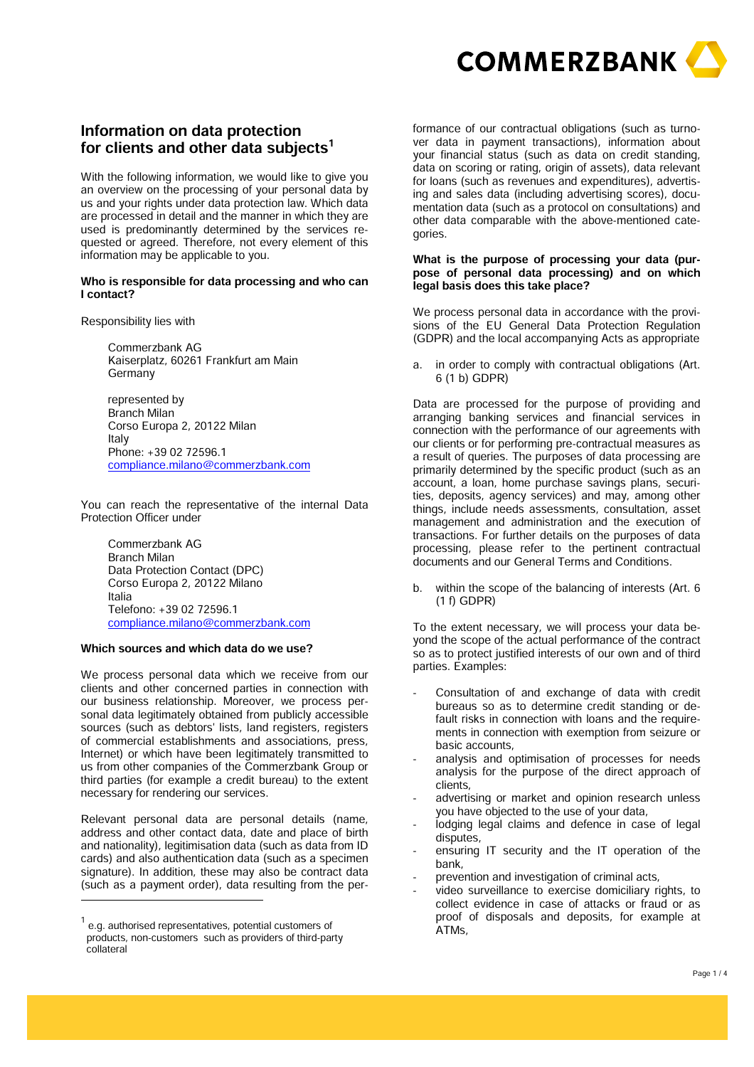

# **Information on data protection for clients and other data subjects<sup>1</sup>**

**With the following information, we would like to give you an overview on the processing of your personal data by us and your rights under data protection law. Which data are processed in detail and the manner in which they are used is predominantly determined by the services requested or agreed. Therefore, not every element of this information may be applicable to you.** 

#### **Who is responsible for data processing and who can I contact?**

**Responsibility lies with** 

**Commerzbank AG Kaiserplatz, 60261 Frankfurt am Main Germany** 

**represented by Branch Milan Corso Europa 2, 20122 Milan Italy Phone: +39 02 72596.1 compliance.milano@commerzbank.com**

**You can reach the representative of the internal Data Protection Officer under** 

**Commerzbank AG Branch Milan Data Protection Contact (DPC) Corso Europa 2, 20122 Milano Italia Telefono: +39 02 72596.1 compliance.milano@commerzbank.com** 

#### **Which sources and which data do we use?**

**We process personal data which we receive from our clients and other concerned parties in connection with our business relationship. Moreover, we process personal data legitimately obtained from publicly accessible sources (such as debtors' lists, land registers, registers of commercial establishments and associations, press, Internet) or which have been legitimately transmitted to us from other companies of the Commerzbank Group or third parties (for example a credit bureau) to the extent necessary for rendering our services.** 

**Relevant personal data are personal details (name, address and other contact data, date and place of birth and nationality), legitimisation data (such as data from ID cards) and also authentication data (such as a specimen signature). In addition, these may also be contract data (such as a payment order), data resulting from the per-**

**formance of our contractual obligations (such as turnover data in payment transactions), information about your financial status (such as data on credit standing, data on scoring or rating, origin of assets), data relevant for loans (such as revenues and expenditures), advertising and sales data (including advertising scores), documentation data (such as a protocol on consultations) and other data comparable with the above-mentioned categories.** 

#### **What is the purpose of processing your data (purpose of personal data processing) and on which legal basis does this take place?**

**We process personal data in accordance with the provisions of the EU General Data Protection Regulation (GDPR) and the local accompanying Acts as appropriate** 

**a. in order to comply with contractual obligations (Art. 6 (1 b) GDPR)** 

**Data are processed for the purpose of providing and arranging banking services and financial services in connection with the performance of our agreements with our clients or for performing pre-contractual measures as a result of queries. The purposes of data processing are primarily determined by the specific product (such as an account, a loan, home purchase savings plans, securities, deposits, agency services) and may, among other things, include needs assessments, consultation, asset management and administration and the execution of transactions. For further details on the purposes of data processing, please refer to the pertinent contractual documents and our General Terms and Conditions.** 

**b. within the scope of the balancing of interests (Art. 6 (1 f) GDPR)** 

**To the extent necessary, we will process your data beyond the scope of the actual performance of the contract so as to protect justified interests of our own and of third parties. Examples:** 

- - **Consultation of and exchange of data with credit bureaus so as to determine credit standing or default risks in connection with loans and the requirements in connection with exemption from seizure or basic accounts,**
- - **analysis and optimisation of processes for needs analysis for the purpose of the direct approach of clients,**
- - **advertising or market and opinion research unless you have objected to the use of your data,**
- - **lodging legal claims and defence in case of legal disputes,**
- - **ensuring IT security and the IT operation of the bank,**
- - **prevention and investigation of criminal acts,**
- - **video surveillance to exercise domiciliary rights, to collect evidence in case of attacks or fraud or as proof of disposals and deposits, for example at ATMs,**

**<sup>1</sup> e.g. authorised representatives, potential customers of products, non-customers such as providers of third-party collateral**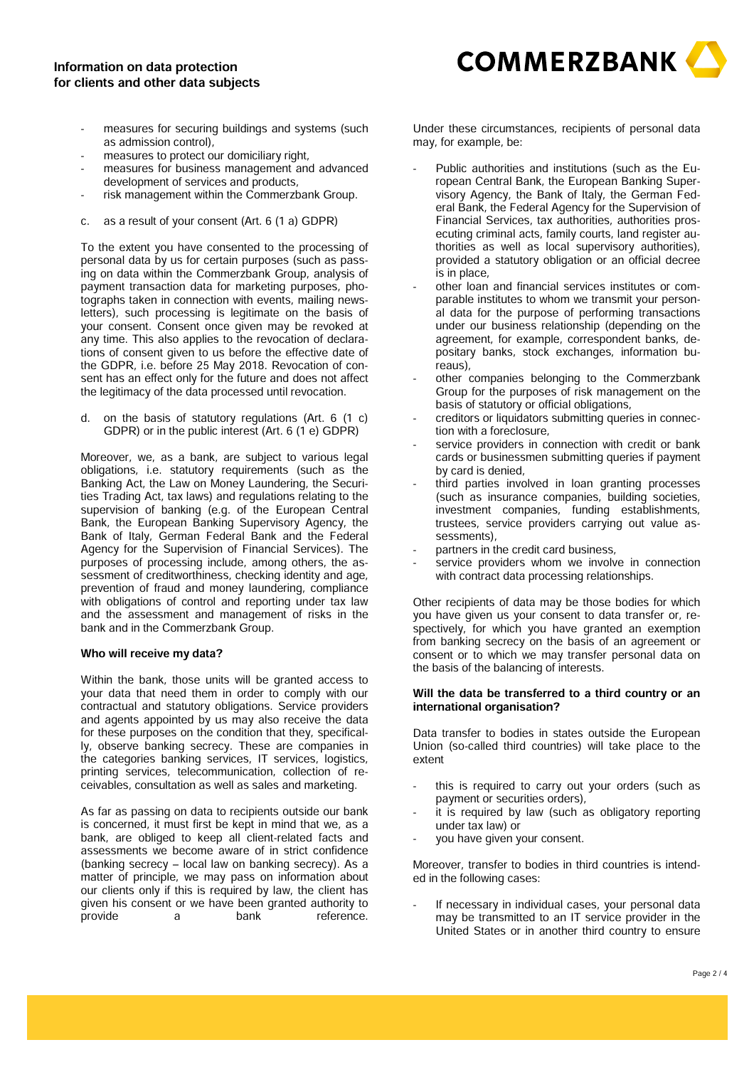## **Information on data protection for clients and other data subjects**



- - **measures for securing buildings and systems (such as admission control),**
- - **measures to protect our domiciliary right,**
- - **measures for business management and advanced development of services and products,**
- - **risk management within the Commerzbank Group.**
- **c. as a result of your consent (Art. 6 (1 a) GDPR)**

**To the extent you have consented to the processing of personal data by us for certain purposes (such as passing on data within the Commerzbank Group, analysis of payment transaction data for marketing purposes, photographs taken in connection with events, mailing newsletters), such processing is legitimate on the basis of your consent. Consent once given may be revoked at any time. This also applies to the revocation of declarations of consent given to us before the effective date of the GDPR, i.e. before 25 May 2018. Revocation of consent has an effect only for the future and does not affect the legitimacy of the data processed until revocation.** 

**d. on the basis of statutory regulations (Art. 6 (1 c) GDPR) or in the public interest (Art. 6 (1 e) GDPR)** 

**Moreover, we, as a bank, are subject to various legal obligations, i.e. statutory requirements (such as the Banking Act, the Law on Money Laundering, the Securities Trading Act, tax laws) and regulations relating to the supervision of banking (e.g. of the European Central Bank, the European Banking Supervisory Agency, the Bank of Italy, German Federal Bank and the Federal Agency for the Supervision of Financial Services). The purposes of processing include, among others, the assessment of creditworthiness, checking identity and age, prevention of fraud and money laundering, compliance with obligations of control and reporting under tax law and the assessment and management of risks in the bank and in the Commerzbank Group.** 

#### **Who will receive my data?**

**Within the bank, those units will be granted access to your data that need them in order to comply with our contractual and statutory obligations. Service providers and agents appointed by us may also receive the data for these purposes on the condition that they, specifically, observe banking secrecy. These are companies in the categories banking services, IT services, logistics, printing services, telecommunication, collection of receivables, consultation as well as sales and marketing.** 

**As far as passing on data to recipients outside our bank is concerned, it must first be kept in mind that we, as a bank, are obliged to keep all client-related facts and assessments we become aware of in strict confidence (banking secrecy – local law on banking secrecy). As a matter of principle, we may pass on information about our clients only if this is required by law, the client has given his consent or we have been granted authority to provide a bank reference.**

**Under these circumstances, recipients of personal data may, for example, be:** 

- - **Public authorities and institutions (such as the European Central Bank, the European Banking Supervisory Agency, the Bank of Italy, the German Federal Bank, the Federal Agency for the Supervision of Financial Services, tax authorities, authorities prosecuting criminal acts, family courts, land register authorities as well as local supervisory authorities), provided a statutory obligation or an official decree is in place,**
- - **other loan and financial services institutes or comparable institutes to whom we transmit your personal data for the purpose of performing transactions under our business relationship (depending on the agreement, for example, correspondent banks, depositary banks, stock exchanges, information bureaus),**
- - **other companies belonging to the Commerzbank Group for the purposes of risk management on the basis of statutory or official obligations,**
- - **creditors or liquidators submitting queries in connection with a foreclosure,**
- - **service providers in connection with credit or bank cards or businessmen submitting queries if payment by card is denied,**
- - **third parties involved in loan granting processes (such as insurance companies, building societies, investment companies, funding establishments, trustees, service providers carrying out value assessments),**
- - **partners in the credit card business,**
- service providers whom we involve in connection **with contract data processing relationships.**

**Other recipients of data may be those bodies for which you have given us your consent to data transfer or, respectively, for which you have granted an exemption from banking secrecy on the basis of an agreement or consent or to which we may transfer personal data on the basis of the balancing of interests.** 

#### **Will the data be transferred to a third country or an international organisation?**

**Data transfer to bodies in states outside the European Union (so-called third countries) will take place to the extent** 

- - **this is required to carry out your orders (such as payment or securities orders),**
- - **it is required by law (such as obligatory reporting under tax law) or**
- - **you have given your consent.**

**Moreover, transfer to bodies in third countries is intended in the following cases:** 

- **If necessary in individual cases, your personal data may be transmitted to an IT service provider in the United States or in another third country to ensure**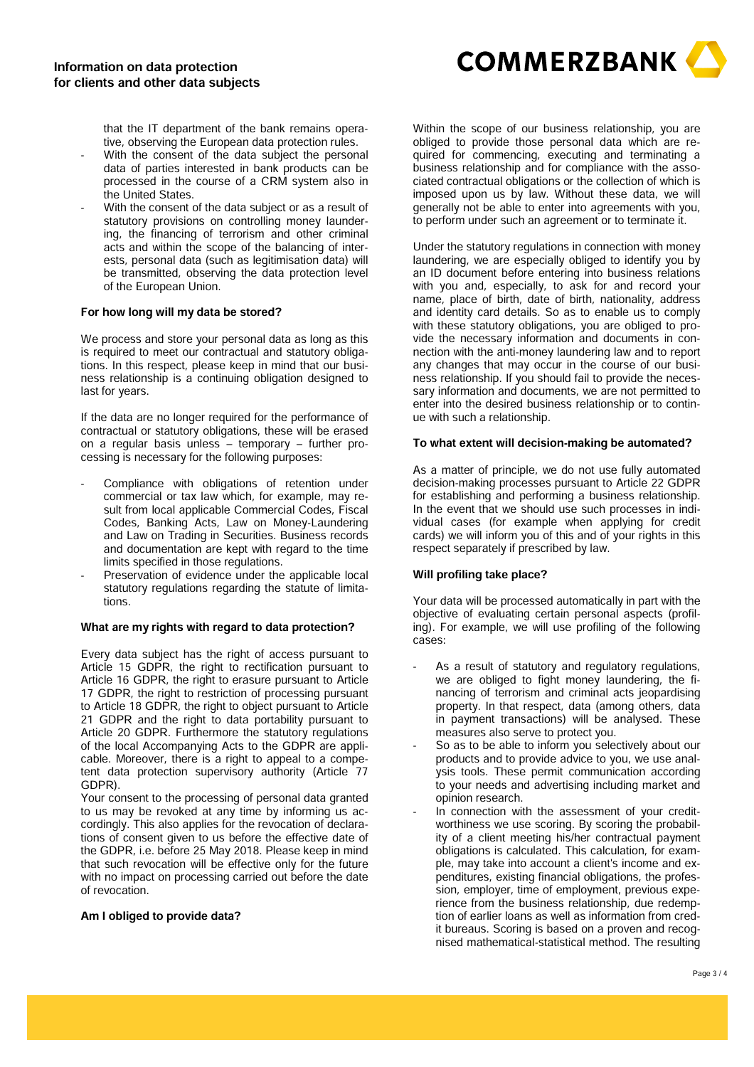**COMMERZBANK** 

**that the IT department of the bank remains operative, observing the European data protection rules.**

- - **With the consent of the data subject the personal data of parties interested in bank products can be processed in the course of a CRM system also in the United States.**
- - **With the consent of the data subject or as a result of statutory provisions on controlling money laundering, the financing of terrorism and other criminal acts and within the scope of the balancing of interests, personal data (such as legitimisation data) will be transmitted, observing the data protection level of the European Union.**

#### **For how long will my data be stored?**

**We process and store your personal data as long as this is required to meet our contractual and statutory obligations. In this respect, please keep in mind that our business relationship is a continuing obligation designed to last for years.** 

**If the data are no longer required for the performance of contractual or statutory obligations, these will be erased on a regular basis unless – temporary – further processing is necessary for the following purposes:** 

- - **Compliance with obligations of retention under commercial or tax law which, for example, may result from local applicable Commercial Codes, Fiscal Codes, Banking Acts, Law on Money-Laundering and Law on Trading in Securities. Business records and documentation are kept with regard to the time limits specified in those regulations.**
- - **Preservation of evidence under the applicable local statutory regulations regarding the statute of limitations.**

#### **What are my rights with regard to data protection?**

**Every data subject has the right of access pursuant to Article 15 GDPR, the right to rectification pursuant to Article 16 GDPR, the right to erasure pursuant to Article 17 GDPR, the right to restriction of processing pursuant to Article 18 GDPR, the right to object pursuant to Article 21 GDPR and the right to data portability pursuant to Article 20 GDPR. Furthermore the statutory regulations of the local Accompanying Acts to the GDPR are applicable. Moreover, there is a right to appeal to a competent data protection supervisory authority (Article 77 GDPR).** 

**Your consent to the processing of personal data granted to us may be revoked at any time by informing us accordingly. This also applies for the revocation of declarations of consent given to us before the effective date of the GDPR, i.e. before 25 May 2018. Please keep in mind that such revocation will be effective only for the future with no impact on processing carried out before the date of revocation.** 

#### **Am I obliged to provide data?**

**Within the scope of our business relationship, you are obliged to provide those personal data which are required for commencing, executing and terminating a business relationship and for compliance with the associated contractual obligations or the collection of which is imposed upon us by law. Without these data, we will generally not be able to enter into agreements with you, to perform under such an agreement or to terminate it.** 

**Under the statutory regulations in connection with money laundering, we are especially obliged to identify you by an ID document before entering into business relations with you and, especially, to ask for and record your name, place of birth, date of birth, nationality, address and identity card details. So as to enable us to comply with these statutory obligations, you are obliged to provide the necessary information and documents in connection with the anti-money laundering law and to report any changes that may occur in the course of our business relationship. If you should fail to provide the necessary information and documents, we are not permitted to enter into the desired business relationship or to continue with such a relationship.** 

#### **To what extent will decision-making be automated?**

**As a matter of principle, we do not use fully automated decision-making processes pursuant to Article 22 GDPR for establishing and performing a business relationship. In the event that we should use such processes in individual cases (for example when applying for credit cards) we will inform you of this and of your rights in this respect separately if prescribed by law.** 

#### **Will profiling take place?**

**Your data will be processed automatically in part with the objective of evaluating certain personal aspects (profiling). For example, we will use profiling of the following cases:** 

- - **As a result of statutory and regulatory regulations, we are obliged to fight money laundering, the financing of terrorism and criminal acts jeopardising property. In that respect, data (among others, data in payment transactions) will be analysed. These measures also serve to protect you.**
- - **So as to be able to inform you selectively about our products and to provide advice to you, we use analysis tools. These permit communication according to your needs and advertising including market and opinion research.**
- In connection with the assessment of your credit**worthiness we use scoring. By scoring the probability of a client meeting his/her contractual payment obligations is calculated. This calculation, for example, may take into account a client's income and expenditures, existing financial obligations, the profession, employer, time of employment, previous experience from the business relationship, due redemption of earlier loans as well as information from credit bureaus. Scoring is based on a proven and recognised mathematical-statistical method. The resulting**